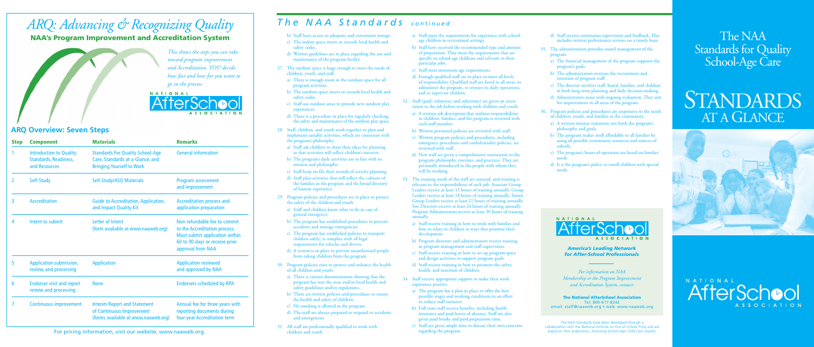- b) Staff have access to adequate and convenient storage.
- c) The indoor space meets or exceeds local health and safety codes.
- d) Written guidelines are in place regarding the use and maintenance of the program facility.
- 27. The outdoor space is large enough to meet the needs of children, youth, and staff.
	- a) There is enough room in the outdoor space for all program activities.
	- b) The outdoor space meets or exceeds local health and safety codes.
	- c) Staff use outdoor areas to provide new outdoor play experiences.
	- d) There is a procedure in place for regularly checking the safety and maintenance of the outdoor play space.
- 28. Staff, children, and youth work together to plan and implement suitable activities, which are consistent with the program's philosophy.
	- a) Staff ask children to share their ideas for planning so that activities will reflect children's interests.
	- b) The program's daily activities are in line with its mission and philosophy.
	- c) Staff keep on file their records of activity planning.
	- d) Staff plan activities that will reflect the cultures of the families in the program and the broad diversity of human experience.
- 29. Program policies and procedures are in place to protect the safety of the children and youth.
	- a) Staff and children know what to do in case of general emergency.
	- b) The program has established procedures to prevent accidents and manage emergencies.
	- c) The program has established policies to transport children safely; it complies with all legal requirements for vehicles and drivers.
	- d) A system is in place to prevent unauthorized people from taking children from the program.
- 30. Program policies exist to protect and enhance the health of all children and youth.
	- a) There is current documentation showing that the program has met the state and/or local health and safety guidelines and/or regulations.
	- b) There are written policies and procedures to ensure the health and safety of children.
	- c) No smoking is allowed in the program.
	- d) The staff are always prepared to respond to accidents and emergencies.
- 31. All staff are professionally qualified to work with children and youth.
- d) Staff receive continuous supervision and feedback. This includes written performance reviews on a timely basis.
- 35. The administration provides sound management of the program.
	- a) The financial management of the program supports the program's goals.
	- b) The administration oversees the recruitment and retention of program staff.
	- c) The director involves staff, board, families, and children in both long-term planning and daily decision-making.
	- d) Administrators assist with ongoing evaluation. They aim for improvement in all areas of the program.
- 36. Program policies and procedures are responsive to the needs of children, youth, and families in the community.
- a) A written mission statement sets forth the program's philosophy and goals.
- b) The program makes itself affordable to all families by using all possible community resources and sources of subsidy.
- c) The program's hours of operation are based on families' needs.
- d) It is the program's policy to enroll children with special needs.



# **STANDARDS** AT A GLANCE





- a) Staff meet the requirements for experience with schoolage children in recreational settings.
- b) Staff have received the recommended type and amount of preparation. They meet the requirements that are specific to school-age childcare and relevant to their particular jobs.
- c) Staff meet minimum age requirements.
- d) Enough qualified staff are in place to meet all levels of responsibility. Qualified staff are hired in all areas: to administer the program, to oversee its daily operations, and to supervise children.
- 32. Staff (paid, volunteer, and substitute) are given an orientation to the job before working with children and youth.
	- a) A written job description that outlines responsibilities to children, families, and the program is reviewed with each staff member.
	- b) Written personnel policies are reviewed with staff.
	- c) Written program policies and procedures, including emergency procedures and confidentiality policies, are reviewed with staff.
	- d) New staff are given a comprehensive orientation to the program philosophy, routines, and practices. They are personally introduced to the people with whom they will be working.
- 33. The training needs of the staff are assessed, and training is relevant to the responsibilities of each job. Assistant Group Leaders receive at least 15 hours of training annually. Group Leaders receive at least 18 hours of training annually. Senior Group Leaders receive at least 21 hours of training annually. Site Directors receive at least 24 hours of training annually. Program Administrators receive at least 30 hours of training annually.
	- a) Staff receive training in how to work with families and how to relate to children in ways that promote their development.
	- b) Program directors and administrators receive training in program management and staff supervision.
	- c) Staff receive training in how to set up program space and design activities to support program goals.
	- d) Staff receive training in how to promote the safety, health, and nutrition of children.
- 34. Staff receive appropriate support to make their work experience positive.
	- a) The program has a plan in place to offer the best possible wages and working conditions in an effort to reduce staff turnover.
	- b) Full-time staff receive benefits, including health insurance and paid leaves of absence. Staff are also given paid breaks and paid preparation time.
	- c) Staff are given ample time to discuss their own concerns regarding the program.
- 
- 
- 
- 
- 
- 

- 
- 
- 
- 
- 
- 
- 

### *The NAA Standards continued*

### The NAA Standards for Quality School-Age Care

## *ARQ: Advancing & Recognizing Quality*

NAA's Program Improvement and Accreditation System



*America's Leading Network for After-School Professionals*

*For information on NAA Membership or the Program Improvement and Accreditation System, contact:*

The National AfterSchool Association Tel: 800-617-8242 email: staff@naaweb.org • web: www.naaweb.org

The NAA Standards have been developed through a collaboration with the National Institute on Out-of-School Time and are based on their publication, *Assessing School-Age Child Care Quality*.

*This shows the steps you can take toward program improvement and Accreditation. YOU decide how fast and how far you want to go in the process.*

# NATIONAL

| <b>Step</b> | <b>Component</b>                                                                 | <b>Materials</b>                                                                                                | <b>Remarks</b>                                                                                                                                         |
|-------------|----------------------------------------------------------------------------------|-----------------------------------------------------------------------------------------------------------------|--------------------------------------------------------------------------------------------------------------------------------------------------------|
|             | <b>Introduction to Quality:</b><br><b>Standards, Readiness,</b><br>and Resources | <b>Standards For Quality School-Age</b><br>Care, Standards at a Glance, and<br><b>Bringing Yourself to Work</b> | <b>General information</b>                                                                                                                             |
| 2           | Self-Study                                                                       | Self-Study/ASQ Materials                                                                                        | Program assessment<br>and improvement                                                                                                                  |
| 3           | <b>Accreditation</b>                                                             | <b>Guide to Accreditation, Application,</b><br>and Impact Quality Kit                                           | <b>Accreditation process and</b><br>application preparation                                                                                            |
| 4           | Intent to submit                                                                 | Letter of Intent<br>(form available at www.naaweb.org)                                                          | Non-refundable fee to commit<br>to the Accreditation process.<br>Must submit application within<br>60 to 90 days or receive prior<br>approval from NAA |
| 5           | <b>Application submission,</b><br>review, and processing                         | <b>Application</b>                                                                                              | <b>Application reviewed</b><br>and approved by NAA                                                                                                     |
| 6           | <b>Endorser visit and report</b><br>review and processing                        | <b>None</b>                                                                                                     | <b>Endorsers scheduled by RPA</b>                                                                                                                      |
|             | <b>Continuous improvement</b>                                                    | <b>Interim Report and Statement</b><br>of Continuous Improvement<br>(forms available at www.naaweb.org)         | Annual fee for three years with<br>reporting documents during<br>four-year Accreditation term                                                          |

### **ARQ Overview: Seven Steps**